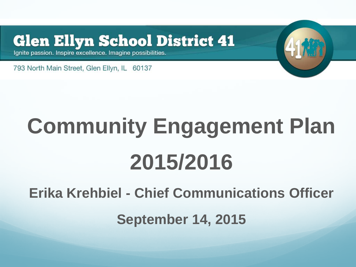#### **Glen Ellyn School District 41**

Ignite passion. Inspire excellence. Imagine possibilities.

793 North Main Street, Glen Ellyn, IL 60137

# **Community Engagement Plan 2015/2016**

**Erika Krehbiel - Chief Communications Officer**

**September 14, 2015**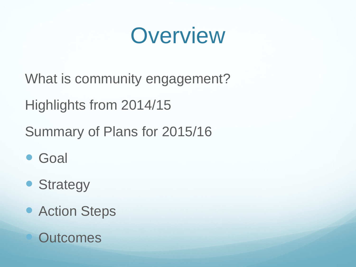### **Overview**

- What is community engagement?
- Highlights from 2014/15
- Summary of Plans for 2015/16
- Goal
- Strategy
- Action Steps
	- **Outcomes**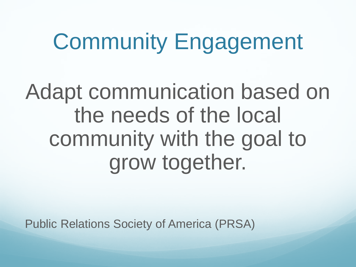### Community Engagement

Adapt communication based on the needs of the local community with the goal to grow together.

Public Relations Society of America (PRSA)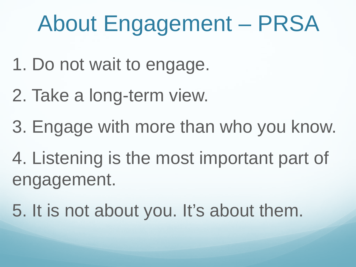# About Engagement – PRSA

- 1. Do not wait to engage.
- 2. Take a long-term view.
- 3. Engage with more than who you know.
- 4. Listening is the most important part of engagement.
- 5. It is not about you. It's about them.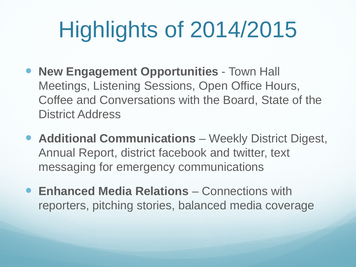# Highlights of 2014/2015

- **New Engagement Opportunities Town Hall** Meetings, Listening Sessions, Open Office Hours, Coffee and Conversations with the Board, State of the District Address
- **Additional Communications** Weekly District Digest, Annual Report, district facebook and twitter, text messaging for emergency communications
- **Enhanced Media Relations** Connections with reporters, pitching stories, balanced media coverage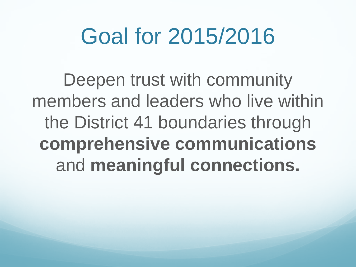### Goal for 2015/2016

Deepen trust with community members and leaders who live within the District 41 boundaries through **comprehensive communications**  and **meaningful connections.**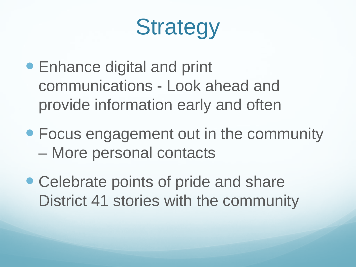## **Strategy**

- Enhance digital and print communications - Look ahead and provide information early and often
- Focus engagement out in the community – More personal contacts
- Celebrate points of pride and share District 41 stories with the community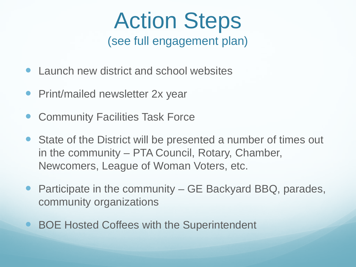#### Action Steps (see full engagement plan)

- Launch new district and school websites
- Print/mailed newsletter 2x year
- Community Facilities Task Force
- State of the District will be presented a number of times out in the community – PTA Council, Rotary, Chamber, Newcomers, League of Woman Voters, etc.
- Participate in the community GE Backyard BBQ, parades, community organizations
- BOE Hosted Coffees with the Superintendent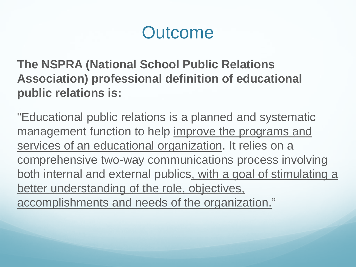#### **Outcome**

**The NSPRA (National School Public Relations Association) professional definition of educational public relations is:**

"Educational public relations is a planned and systematic management function to help improve the programs and services of an educational organization. It relies on a comprehensive two-way communications process involving both internal and external publics, with a goal of stimulating a better understanding of the role, objectives, accomplishments and needs of the organization."